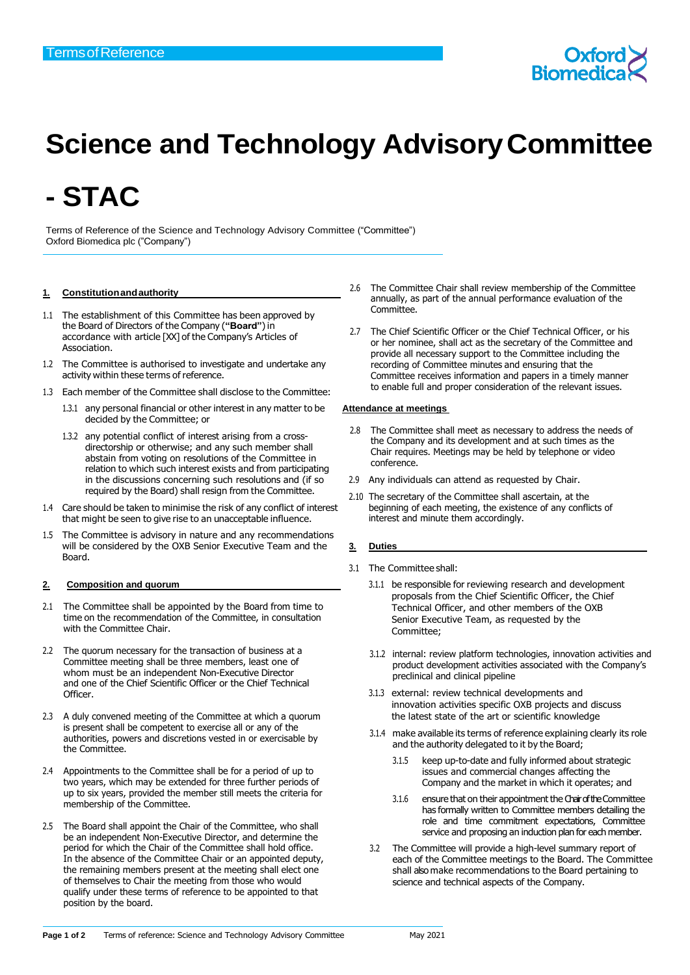

# **Science and Technology AdvisoryCommittee**

# **- STAC**

Terms of Reference of the Science and Technology Advisory Committee ("Committee") Oxford Biomedica plc ("Company")

### **1. Constitutionandauthority**

- 1.1 The establishment of this Committee has been approved by the Board of Directors of the Company (**"Board"**)in accordance with article [XX] of the Company's Articles of Association.
- 1.2 The Committee is authorised to investigate and undertake any activity within these terms of reference.
- 1.3 Each member of the Committee shall disclose to the Committee:
	- 1.3.1 any personal financial or other interest in any matter to be decided by the Committee; or
	- 1.3.2 any potential conflict of interest arising from a crossdirectorship or otherwise; and any such member shall abstain from voting on resolutions of the Committee in relation to which such interest exists and from participating in the discussions concerning such resolutions and (if so required by the Board) shall resign from the Committee.
- 1.4 Care should be taken to minimise the risk of any conflict of interest that might be seen to give rise to an unacceptable influence.
- 1.5 The Committee is advisory in nature and any recommendations will be considered by the OXB Senior Executive Team and the Board.

### **2. Composition and quorum**

- 2.1 The Committee shall be appointed by the Board from time to time on the recommendation of the Committee, in consultation with the Committee Chair.
- 2.2 The quorum necessary for the transaction of business at a Committee meeting shall be three members, least one of whom must be an independent Non-Executive Director and one of the Chief Scientific Officer or the Chief Technical Officer.
- 2.3 A duly convened meeting of the Committee at which a quorum is present shall be competent to exercise all or any of the authorities, powers and discretions vested in or exercisable by the Committee.
- 2.4 Appointments to the Committee shall be for a period of up to two years, which may be extended for three further periods of up to six years, provided the member still meets the criteria for membership of the Committee.
- 2.5 The Board shall appoint the Chair of the Committee, who shall be an independent Non-Executive Director, and determine the period for which the Chair of the Committee shall hold office. In the absence of the Committee Chair or an appointed deputy, the remaining members present at the meeting shall elect one of themselves to Chair the meeting from those who would qualify under these terms of reference to be appointed to that position by the board.
- 2.6 The Committee Chair shall review membership of the Committee annually, as part of the annual performance evaluation of the Committee.
- 2.7 The Chief Scientific Officer or the Chief Technical Officer, or his or her nominee, shall act as the secretary of the Committee and provide all necessary support to the Committee including the recording of Committee minutes and ensuring that the Committee receives information and papers in a timely manner to enable full and proper consideration of the relevant issues.

#### **Attendance at meetings**

- 2.8 The Committee shall meet as necessary to address the needs of the Company and its development and at such times as the Chair requires. Meetings may be held by telephone or video conference.
- 2.9 Any individuals can attend as requested by Chair.
- 2.10 The secretary of the Committee shall ascertain, at the beginning of each meeting, the existence of any conflicts of interest and minute them accordingly.

## **3. Duties**

- 3.1 The Committee shall:
	- 3.1.1 be responsible for reviewing research and development proposals from the Chief Scientific Officer, the Chief Technical Officer, and other members of the OXB Senior Executive Team, as requested by the Committee;
	- 3.1.2 internal: review platform technologies, innovation activities and product development activities associated with the Company's preclinical and clinical pipeline
	- 3.1.3 external: review technical developments and innovation activities specific OXB projects and discuss the latest state of the art or scientific knowledge
	- 3.1.4 make available its terms of reference explaining clearly its role and the authority delegated to it by the Board;
		- 3.1.5 keep up-to-date and fully informed about strategic issues and commercial changes affecting the Company and the market in which it operates; and
		- 3.1.6 ensure that on their appointment the Chair of the Committee has formally written to Committee members detailing the role and time commitment expectations, Committee service and proposing an induction plan for each member.
	- 3.2 The Committee will provide a high-level summary report of each of the Committee meetings to the Board. The Committee shall also make recommendations to the Board pertaining to science and technical aspects of the Company.